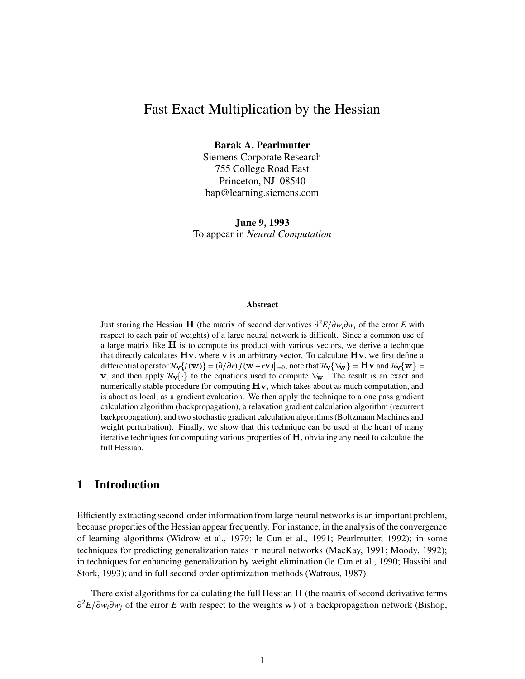# Fast Exact Multiplication by the Hessian

**Barak A. Pearlmutter**

Siemens Corporate Research 755 College Road East Princeton, NJ 08540 bap@learning.siemens.com

**June 9, 1993** To appear in *Neural Computation*

#### **Abstract**

Just storing the Hessian (the matrix of second derivatives ∂ <sup>2</sup>*E*∂*wi*∂*w<sup>j</sup>* of the error *E* with respect to each pair of weights) of a large neural network is difficult. Since a common use of a large matrix like  $H$  is to compute its product with various vectors, we derive a technique that directly calculates  $Hv$ , where v is an arbitrary vector. To calculate  $Hv$ , we first define a differential operator  $\mathcal{R}_{\mathbf{V}}\{f(\mathbf{w})\} = (\partial/\partial r)f(\mathbf{w} + r\mathbf{v})|_{r=0}$ , note that  $\mathcal{R}_{\mathbf{V}}\{\nabla_{\mathbf{w}}\} = \mathbf{H}\mathbf{v}$  and  $\mathcal{R}_{\mathbf{V}}\{\mathbf{w}\} =$ **v**, and then apply  $\mathcal{R}_{\mathbf{V}}\{\cdot\}$  to the equations used to compute  $\nabla_{\mathbf{w}}$ . The result is an exact and numerically stable procedure for computing  $\rm{Hv}$ , which takes about as much computation, and is about as local, as a gradient evaluation. We then apply the technique to a one pass gradient calculation algorithm (backpropagation), a relaxation gradient calculation algorithm (recurrent backpropagation), and two stochastic gradient calculation algorithms(Boltzmann Machines and weight perturbation). Finally, we show that this technique can be used at the heart of many iterative techniques for computing various properties of  $H$ , obviating any need to calculate the full Hessian.

## **1 Introduction**

Efficiently extracting second-order information from large neural networksis an important problem, because properties of the Hessian appear frequently. For instance, in the analysis of the convergence of learning algorithms (Widrow et al., 1979; le Cun et al., 1991; Pearlmutter, 1992); in some techniques for predicting generalization rates in neural networks (MacKay, 1991; Moody, 1992); in techniques for enhancing generalization by weight elimination (le Cun et al., 1990; Hassibi and Stork, 1993); and in full second-order optimization methods (Watrous, 1987).

There exist algorithms for calculating the full Hessian H (the matrix of second derivative terms ∂<sup>2</sup>E/∂*w<sub>i</sub>*∂*w<sub>j</sub>* of the error *E* with respect to the weights **w**) of a backpropagation network (Bishop,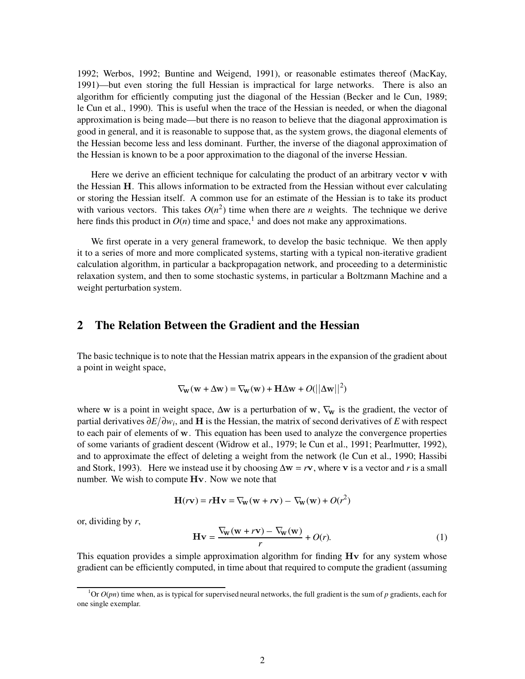1992; Werbos, 1992; Buntine and Weigend, 1991), or reasonable estimates thereof (MacKay, 1991)—but even storing the full Hessian is impractical for large networks. There is also an algorithm for efficiently computing just the diagonal of the Hessian (Becker and le Cun, 1989; le Cun et al., 1990). This is useful when the trace of the Hessian is needed, or when the diagonal approximation is being made—but there is no reason to believe that the diagonal approximation is good in general, and it is reasonable to suppose that, as the system grows, the diagonal elements of the Hessian become less and less dominant. Further, the inverse of the diagonal approximation of the Hessian is known to be a poor approximation to the diagonal of the inverse Hessian.

Here we derive an efficient technique for calculating the product of an arbitrary vector v with the Hessian H. This allows information to be extracted from the Hessian without ever calculating or storing the Hessian itself. A common use for an estimate of the Hessian is to take its product with various vectors. This takes  $O(n^2)$  time when there are *n* weights. The technique we derive here finds this product in  $O(n)$  time and space,<sup>1</sup> and does not make any approximations.

We first operate in a very general framework, to develop the basic technique. We then apply it to a series of more and more complicated systems, starting with a typical non-iterative gradient calculation algorithm, in particular a backpropagation network, and proceeding to a deterministic relaxation system, and then to some stochastic systems, in particular a Boltzmann Machine and a weight perturbation system.

## **2 The Relation Between the Gradient and the Hessian**

The basic technique is to note that the Hessian matrix appears in the expansion of the gradient about a point in weight space,

$$
\nabla_{\mathbf{W}}(\mathbf{w} + \Delta \mathbf{w}) = \nabla_{\mathbf{W}}(\mathbf{w}) + \mathbf{H} \Delta \mathbf{w} + O(||\Delta \mathbf{w}||^2)
$$

where w is a point in weight space,  $\Delta w$  is a perturbation of w,  $\nabla_w$  is the gradient, the vector of partial derivatives  $∂E/∂w<sub>i</sub>$ , and **H** is the Hessian, the matrix of second derivatives of *E* with respect to each pair of elements of w. This equation has been used to analyze the convergence properties of some variants of gradient descent (Widrow et al., 1979; le Cun et al., 1991; Pearlmutter, 1992), and to approximate the effect of deleting a weight from the network (le Cun et al., 1990; Hassibi and Stork, 1993). Here we instead use it by choosing  $\Delta w = rv$ , where v is a vector and *r* is a small number. We wish to compute  $Hv$ . Now we note that

$$
\mathbf{H}(r\mathbf{v}) = r\mathbf{H}\mathbf{v} = \nabla_{\mathbf{w}}(\mathbf{w} + r\mathbf{v}) - \nabla_{\mathbf{w}}(\mathbf{w}) + O(r^2)
$$

or, dividing by *r*,

$$
\mathbf{H}\mathbf{v} = \frac{\nabla_{\mathbf{w}}(\mathbf{w} + r\mathbf{v}) - \nabla_{\mathbf{w}}(\mathbf{w})}{r} + O(r). \tag{1}
$$

This equation provides a simple approximation algorithm for finding  $Hv$  for any system whose gradient can be efficiently computed, in time about that required to compute the gradient (assuming

 ${}^{1}$ Or  $O(pn)$  time when, as is typical for supervised neural networks, the full gradient is the sum of  $p$  gradients, each for one single exemplar.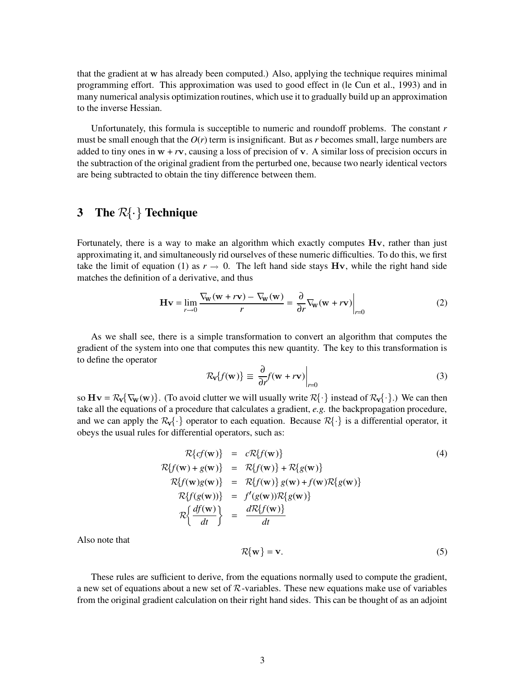that the gradient at w has already been computed.) Also, applying the technique requires minimal programming effort. This approximation was used to good effect in (le Cun et al., 1993) and in many numerical analysis optimization routines, which use it to gradually build up an approximation to the inverse Hessian.

Unfortunately, this formula is succeptible to numeric and roundoff problems. The constant *r* must be small enough that the  $O(r)$  term is insignificant. But as r becomes small, large numbers are added to tiny ones in  $w + rv$ , causing a loss of precision of  $v$ . A similar loss of precision occurs in the subtraction of the original gradient from the perturbed one, because two nearly identical vectors are being subtracted to obtain the tiny difference between them.

## **3 The**  $\mathcal{R}\{\cdot\}$  **Technique**

Fortunately, there is a way to make an algorithm which exactly computes  $Hv$ , rather than just approximating it, and simultaneously rid ourselves of these numeric difficulties. To do this, we first take the limit of equation (1) as  $r \to 0$ . The left hand side stays Hv, while the right hand side matches the definition of a derivative, and thus

$$
\mathbf{H}\mathbf{v} = \lim_{r \to 0} \frac{\nabla_{\mathbf{w}}(\mathbf{w} + r\mathbf{v}) - \nabla_{\mathbf{w}}(\mathbf{w})}{r} = \frac{\partial}{\partial r} \nabla_{\mathbf{w}}(\mathbf{w} + r\mathbf{v}) \Big|_{r=0}
$$
(2)

As we shall see, there is a simple transformation to convert an algorithm that computes the gradient of the system into one that computes this new quantity. The key to this transformation is to define the operator \*

$$
\mathcal{R}_{\mathbf{v}}\{f(\mathbf{w})\} \equiv \left. \frac{\partial}{\partial r} f(\mathbf{w} + r\mathbf{v}) \right|_{r=0} \tag{3}
$$

so  $Hv = \mathcal{R}_v{\nabla_w(w)}$ . (To avoid clutter we will usually write =  $\mathcal{R}_{\rm v}(\nabla_{\rm w}(\rm w))$ . (To avoid clutter we will usually write  $\mathcal{R}\{\cdot\}$  instead of  $\mathcal{R}_{\rm v}\{\cdot\}$ .) We can then take all the equations of a procedure that calculates a gradient, *e.g.* the backpropagation procedure, take all the equations of a procedure that calculates a gradient, e.g. the backpropagation procedure,<br>and we can apply the  $\mathcal{R}_{\mathcal{V}}\{\cdot\}$  operator to each equation. Because  $\mathcal{R}\{\cdot\}$  is a differential operator, it obeys the usual rules for differential operators, such as:

$$
\mathcal{R}\lbrace cf(\mathbf{w}) \rbrace = c\mathcal{R}\lbrace f(\mathbf{w}) \rbrace
$$
\n
$$
\mathcal{R}\lbrace f(\mathbf{w}) + g(\mathbf{w}) \rbrace = \mathcal{R}\lbrace f(\mathbf{w}) \rbrace + \mathcal{R}\lbrace g(\mathbf{w}) \rbrace
$$
\n
$$
\mathcal{R}\lbrace f(\mathbf{w})g(\mathbf{w}) \rbrace = \mathcal{R}\lbrace f(\mathbf{w}) \rbrace g(\mathbf{w}) + f(\mathbf{w})\mathcal{R}\lbrace g(\mathbf{w}) \rbrace
$$
\n
$$
\mathcal{R}\lbrace f(g(\mathbf{w})) \rbrace = f'(g(\mathbf{w}))\mathcal{R}\lbrace g(\mathbf{w}) \rbrace
$$
\n
$$
\mathcal{R}\lbrace \frac{df(\mathbf{w})}{dt} \rbrace = \frac{d\mathcal{R}\lbrace f(\mathbf{w}) \rbrace}{dt}
$$
\n(4)

Also note that \*

$$
\mathcal{R}\{\mathbf{w}\} = \mathbf{v}.\tag{5}
$$

These rules are sufficient to derive, from the equations normally used to compute the gradient, These rules are sufficient to derive, from the equations normally used to compute the gradient,<br>a new set of equations about a new set of R-variables. These new equations make use of variables from the original gradient calculation on their right hand sides. This can be thought of as an adjoint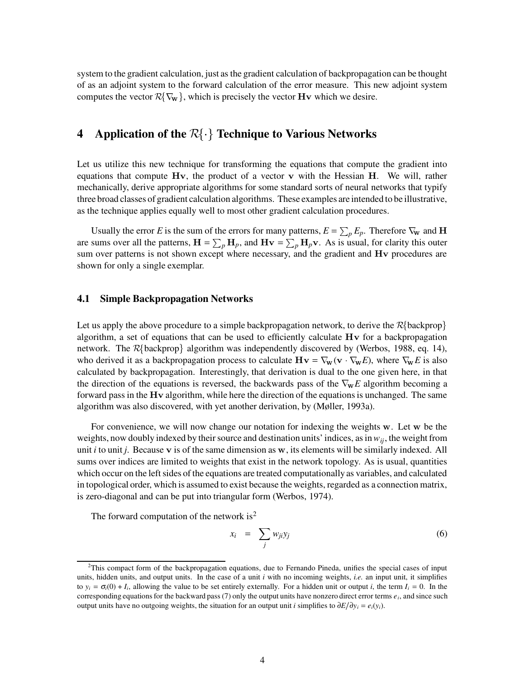system to the gradient calculation, just as the gradient calculation of backpropagation can be thought of as an adjoint system to the forward calculation of the error measure. This new adjoint system of as an adjoint system to the forward calculation of the error measure. This n<br>computes the vector  $R\{\nabla_{\mathbf{w}}\}$ , which is precisely the vector **H**v which we desire.

## **4 Application** of the  $\mathcal{R}\{\cdot\}$  **Technique to Various Networks**

Let us utilize this new technique for transforming the equations that compute the gradient into equations that compute  $Hv$ , the product of a vector  $v$  with the Hessian  $H$ . We will, rather mechanically, derive appropriate algorithms for some standard sorts of neural networks that typify three broad classes of gradient calculation algorithms. These examples are intended to be illustrative, as the technique applies equally well to most other gradient calculation procedures.

Usually the error *E* is the sum of the errors for many patterns,  $E = \sum_{p} E_{p}$ . Therefore  $\nabla_{w}$  and **H** are sums over all the patterns,  $H = \sum_p H_p$ , and  $Hv = \sum_p H_p v$ . As is usual, for clarity this outer sum over patterns is not shown except where necessary, and the gradient and Hv procedures are shown for only a single exemplar.

## **4.1 Simple Backpropagation Networks**

Let us apply the above procedure to a simple backpropagation network, to derive the  $\mathcal{R}\{\text{background}\}$ algorithm, a set of equations that can be used to efficiently calculate  $Hv$  for a backpropagation algorithm, a set of equations that can be used to efficiently calculate Hv for a backpropagation<br>network. The R{backprop} algorithm was independently discovered by (Werbos, 1988, eq. 14), who derived it as a backpropagation process to calculate  $Hv = \nabla_w(v \cdot \nabla_w E)$ , where  $\nabla_w E$  is also calculated by backpropagation. Interestingly, that derivation is dual to the one given here, in that the direction of the equations is reversed, the backwards pass of the  $\nabla_{\mathbf{w}} E$  algorithm becoming a forward pass in the  $Hv$  algorithm, while here the direction of the equations is unchanged. The same algorithm was also discovered, with yet another derivation, by (Møller, 1993a).

For convenience, we will now change our notation for indexing the weights  $\bf{w}$ . Let  $\bf{w}$  be the weights, now doubly indexed by their source and destination units' indices, as in  $w_{ij}$ , the weight from unit  $i$  to unit  $j$ . Because  $\bf{v}$  is of the same dimension as  $\bf{w}$ , its elements will be similarly indexed. All sums over indices are limited to weights that exist in the network topology. As is usual, quantities which occur on the left sides of the equations are treated computationally as variables, and calculated in topological order, which is assumed to exist because the weights, regarded as a connection matrix, is zero-diagonal and can be put into triangular form (Werbos, 1974).

The forward computation of the network is<sup>2</sup>

$$
x_i = \sum_j w_{ji} y_j \tag{6}
$$

 $^{2}$ This compact form of the backpropagation equations, due to Fernando Pineda, unifies the special cases of input units, hidden units, and output units. In the case of a unit  $i$  with no incoming weights, *i.e.* an input unit, it simplifies to  $y_i = \sigma_i(0) + I_i$ , allowing the value to be set entirely externally. For a hidden unit or output *i*, the term  $I_i = 0$ . In the corresponding equations for the backward pass  $(7)$  only the output units have nonzero direct error terms  $e_i$ , and since such output units have no outgoing weights, the situation for an output unit *i* simplifies to  $\frac{\partial E}{\partial y_i} = e_i(y_i)$ .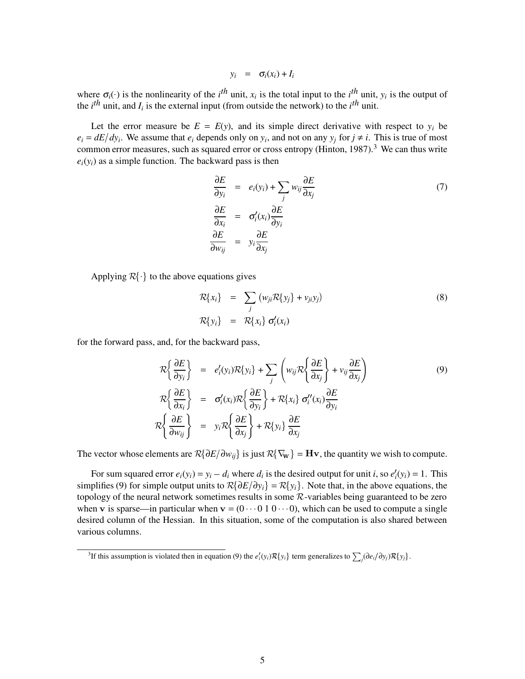$$
y_i = \sigma_i(x_i) + I_i
$$

where  $\sigma_i(\cdot)$  is the nonlinearity of the *i*<sup>th</sup> unit,  $x_i$  is the total input to the *i*<sup>th</sup> unit,  $y_i$  is the output of the  $i^{th}$  unit, and  $I_i$  is the external input (from outside the network) to the  $i^{th}$  unit.

Let the error measure be  $E = E(y)$ , and its simple direct derivative with respect to  $y_i$  be  $e_i = dE/dy_i$ . We assume that  $e_i$  depends only on  $y_i$ , and not on any  $y_j$  for  $j \neq i$ . This is true of most common error measures, such as squared error or cross entropy (Hinton, 1987).<sup>3</sup> We can thus write  $e_i(y_i)$  as a simple function. The backward pass is then

$$
\frac{\partial E}{\partial y_i} = e_i(y_i) + \sum_j w_{ij} \frac{\partial E}{\partial x_j}
$$
\n
$$
\frac{\partial E}{\partial x_i} = \sigma'_i(x_i) \frac{\partial E}{\partial y_i}
$$
\n
$$
\frac{\partial E}{\partial w_{ij}} = y_i \frac{\partial E}{\partial x_j}
$$
\n(7)

Applying  $\mathcal{R}\{\cdot\}$  to the above equations gives

$$
\mathcal{R}\{x_i\} = \sum_j (w_{ji} \mathcal{R}\{y_j\} + v_{ji} y_j)
$$
\n
$$
\mathcal{R}\{y_i\} = \mathcal{R}\{x_i\} \sigma'_i(x_i)
$$
\n(8)

for the forward pass, and, for the backward pass,

$$
\mathcal{R}\left\{\frac{\partial E}{\partial y_i}\right\} = e'_i(y_i)\mathcal{R}\left\{y_i\right\} + \sum_j \left(w_{ij}\mathcal{R}\left\{\frac{\partial E}{\partial x_j}\right\} + v_{ij}\frac{\partial E}{\partial x_j}\right)
$$
\n
$$
\mathcal{R}\left\{\frac{\partial E}{\partial x_i}\right\} = \sigma'_i(x_i)\mathcal{R}\left\{\frac{\partial E}{\partial y_i}\right\} + \mathcal{R}\left\{x_i\right\}\sigma''_i(x_i)\frac{\partial E}{\partial y_i}
$$
\n
$$
\mathcal{R}\left\{\frac{\partial E}{\partial w_{ij}}\right\} = y_i\mathcal{R}\left\{\frac{\partial E}{\partial x_j}\right\} + \mathcal{R}\left\{y_i\right\}\frac{\partial E}{\partial x_j}
$$
\n(9)

The vector whose elements are  $R\{\partial E/\partial w_{ij}\}$  is just  $R\{\nabla_{\mathbf{w}}\} = \mathbf{H}\mathbf{v}$ , the quantity we wish to compute.

For sum squared error  $e_i(y_i) = y_i - d_i$  where  $d_i$  is the desired output for unit *i*, so  $e'_i(y_i) = 1$ . This For sum squared error  $e_i(y_i) = y_i - d_i$  where  $d_i$  is the desired output for unit *i*, so  $e'_i(y_i) = 1$ . This simplifies (9) for simple output units to  $\mathcal{R}\{\partial E/\partial y_i\} = \mathcal{R}\{y_i\}$ . Note that, in the above equations, the simplifies (9) for simple output units to  $R{dE/dy_i} = R{y_i}$ . Note that, in the above equations, the topology of the neural network sometimes results in some  $R$ -variables being guaranteed to be zero when v is sparse—in particular when  $v = (0 \cdots 0 \ 1 \ 0 \cdots 0)$ , which can be used to compute a single desired column of the Hessian. In this situation, some of the computation is also shared between various columns.

<sup>&</sup>lt;sup>3</sup>If this assumption is violated then in equation (9) the  $e'_i(y_i) \mathcal{R}{y_i}$  term generalizes to  $\sum_j (\partial e_i/\partial y_j) \mathcal{R}{y_i}$ .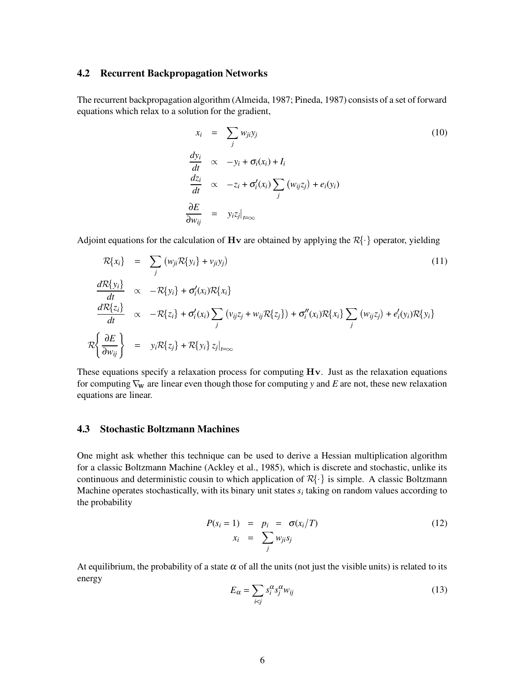#### **4.2 Recurrent Backpropagation Networks**

The recurrent backpropagation algorithm (Almeida, 1987; Pineda, 1987) consists of a set of forward equations which relax to a solution for the gradient,

$$
x_i = \sum_j w_{ji} y_j
$$
\n
$$
\frac{dy_i}{dt} \propto -y_i + \sigma_i(x_i) + I_i
$$
\n
$$
\frac{dz_i}{dt} \propto -z_i + \sigma'_i(x_i) \sum_j (w_{ij} z_j) + e_i(y_i)
$$
\n
$$
\frac{\partial E}{\partial w_{ij}} = y_i z_j|_{t=\infty}
$$
\n(10)

Adjoint equations for the calculation of  $\bf{H}v$  are obtained by applying the  $R\{\cdot\}$  operator, yielding

$$
\mathcal{R}{x_i} = \sum_{j} (w_{ji} \mathcal{R}{y_i} + v_{ji} y_j)
$$
\n
$$
\frac{d\mathcal{R}{y_i}}{dt} \propto -\mathcal{R}{y_i} + \sigma'_i(x_i)\mathcal{R}{x_i}
$$
\n
$$
\frac{d\mathcal{R}{z_i}}{dt} \propto -\mathcal{R}{z_i} + \sigma'_i(x_i) \sum_{j} (v_{ij} z_j + w_{ij} \mathcal{R}{z_j}) + \sigma''_i(x_i)\mathcal{R}{x_i} \sum_{j} (w_{ij} z_j) + e'_i(y_i)\mathcal{R}{y_i}
$$
\n
$$
\mathcal{R}\left\{\frac{\partial E}{\partial w_{ij}}\right\} = y_i \mathcal{R}{z_j} + \mathcal{R}{y_i} z_j|_{t=\infty}
$$
\n(11)

These equations specify a relaxation process for computing  $Hv$ . Just as the relaxation equations for computing  $\nabla_{\mathbf{w}}$  are linear even though those for computing *y* and *E* are not, these new relaxation equations are linear.

### **4.3 Stochastic Boltzmann Machines**

One might ask whether this technique can be used to derive a Hessian multiplication algorithm for a classic Boltzmann Machine (Ackley et al., 1985), which is discrete and stochastic, unlike its for a classic Boltzmann Machine (Ackley et al., 1985), which is discrete and stochastic, unlike its<br>continuous and deterministic cousin to which application of  $\mathcal{R}\{\cdot\}$  is simple. A classic Boltzmann Machine operates stochastically, with its binary unit states *s<sup>i</sup>* taking on random values according to the probability

$$
P(s_i = 1) = p_i = \sigma(x_i/T)
$$
  
\n
$$
x_i = \sum_j w_{ji} s_j
$$
\n(12)

At equilibrium, the probability of a state  $\alpha$  of all the units (not just the visible units) is related to its energy

$$
E_{\alpha} = \sum_{i < j} s_i^{\alpha} s_j^{\alpha} w_{ij} \tag{13}
$$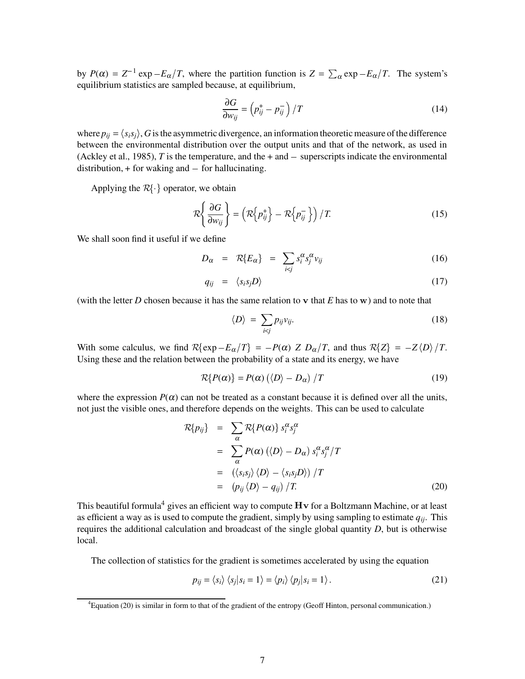by  $P(\alpha) = Z^{-1} \exp{-E_{\alpha}/T}$ , where the partition function is  $Z = \sum_{\alpha} \exp{-E_{\alpha}/T}$ . The system's equilibrium statistics are sampled because, at equilibrium,

$$
\frac{\partial G}{\partial w_{ij}} = \left(p_{ij}^+ - p_{ij}^-\right) / T \tag{14}
$$

where  $p_{ij} = \langle s_i s_j \rangle$ , G is the asymmetric divergence, an information theoretic measure of the difference between the environmental distribution over the output units and that of the network, as used in (Ackley et al., 1985), *T* is the temperature, and the  $+$  and  $-$  superscripts indicate the environmental distribution,  $+$  for waking and  $-$  for hallucinating.

Applying the  $R\{\cdot\}$  operator, we obtain

$$
\mathcal{R}\left\{\frac{\partial G}{\partial w_{ij}}\right\} = \left(\mathcal{R}\left\{p_{ij}^+\right\} - \mathcal{R}\left\{p_{ij}^-\right\}\right) / T. \tag{15}
$$

We shall soon find it useful if we define

$$
D_{\alpha} = \mathcal{R}\{E_{\alpha}\} = \sum_{i < j} s_i^{\alpha} s_j^{\alpha} v_{ij} \tag{16}
$$

$$
q_{ij} = \langle s_i s_j D \rangle \tag{17}
$$

(with the letter  $D$  chosen because it has the same relation to  $\bf{v}$  that  $E$  has to  $\bf{w}$ ) and to note that

$$
\langle D \rangle = \sum_{i < j} p_{ij} v_{ij}.\tag{18}
$$

With some calculus, we find  $R\{\exp -E_\alpha/T\} = -P(\alpha) \times D_\alpha/T$ , and thus  $R\{Z\} = -Z\langle D \rangle/T$ . Using these and the relation between the probability of a state and its energy, we have

$$
\mathcal{R}\{P(\alpha)\} = P(\alpha)\left(\langle D \rangle - D_{\alpha}\right)/T\tag{19}
$$

where the expression  $P(\alpha)$  can not be treated as a constant because it is defined over all the units, not just the visible ones, and therefore depends on the weights. This can be used to calculate

$$
\mathcal{R}\lbrace p_{ij} \rbrace = \sum_{\alpha} \mathcal{R}\lbrace P(\alpha) \rbrace s_i^{\alpha} s_j^{\alpha} \n= \sum_{\alpha} P(\alpha) (\langle D \rangle - D_{\alpha}) s_i^{\alpha} s_j^{\alpha} / T \n= (\langle s_i s_j \rangle \langle D \rangle - \langle s_i s_j D \rangle) / T \n= (\rho_{ij} \langle D \rangle - q_{ij}) / T.
$$
\n(20)

This beautiful formula<sup>4</sup> gives an efficient way to compute  $Hv$  for a Boltzmann Machine, or at least as efficient a way as is used to compute the gradient, simply by using sampling to estimate *qij*. This requires the additional calculation and broadcast of the single global quantity *D*, but is otherwise local.

The collection of statistics for the gradient is sometimes accelerated by using the equation

$$
p_{ij} = \langle s_i \rangle \langle s_j | s_i = 1 \rangle = \langle p_i \rangle \langle p_j | s_i = 1 \rangle. \tag{21}
$$

<sup>4</sup>Equation (20) is similar in form to that of the gradient of the entropy (Geoff Hinton, personal communication.)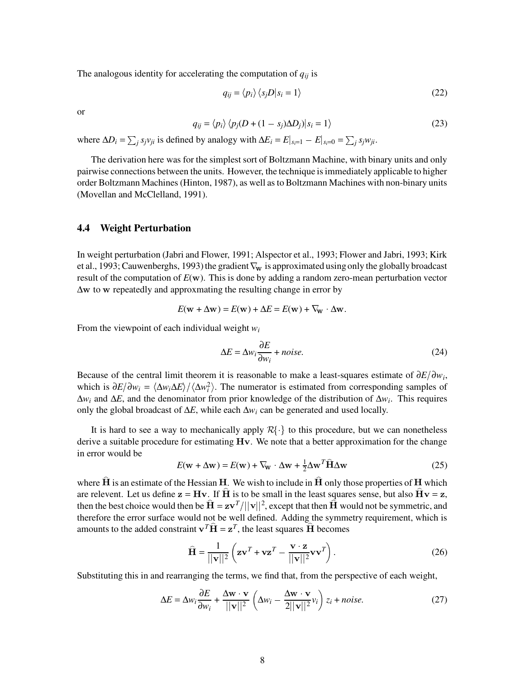The analogous identity for accelerating the computation of  $q_{ij}$  is

$$
q_{ij} = \langle p_i \rangle \langle s_j D | s_i = 1 \rangle \tag{22}
$$

or

$$
q_{ij} = \langle p_i \rangle \langle p_j(D + (1 - s_j) \Delta D_j) | s_i = 1 \rangle \tag{23}
$$

where  $\Delta D_i = \sum_j s_j v_{ji}$  is defined by analogy with  $\Delta E_i = E|_{s_i=1} - E|_{s_i=0} = \sum_j s_j w_{ji}$ .

The derivation here was for the simplest sort of Boltzmann Machine, with binary units and only pairwise connections between the units. However, the technique isimmediately applicable to higher order Boltzmann Machines (Hinton, 1987), as well as to Boltzmann Machines with non-binary units (Movellan and McClelland, 1991).

#### **4.4 Weight Perturbation**

In weight perturbation (Jabri and Flower, 1991; Alspector et al., 1993; Flower and Jabri, 1993; Kirk et al., 1993; Cauwenberghs, 1993) the gradient  $\nabla_{\mathbf{w}}$  is approximated using only the globally broadcast result of the computation of  $E(\mathbf{w})$ . This is done by adding a random zero-mean perturbation vector  $\Delta$ w to w repeatedly and approxmating the resulting change in error by

$$
E(\mathbf{w} + \Delta \mathbf{w}) = E(\mathbf{w}) + \Delta E = E(\mathbf{w}) + \nabla_{\mathbf{w}} \cdot \Delta \mathbf{w}.
$$

From the viewpoint of each individual weight *w<sup>i</sup>*

$$
\Delta E = \Delta w_i \frac{\partial E}{\partial w_i} + noise.
$$
 (24)

Because of the central limit theorem it is reasonable to make a least-squares estimate of  $\partial E/\partial w_i$ , which is  $\partial E/\partial w_i = \langle \Delta w_i \Delta E \rangle / \langle \Delta w_i^2 \rangle$ . The numerator is estimated from corresponding samples of ∆*w<sup>i</sup>* and ∆*E*, and the denominator from prior knowledge of the distribution of ∆*w<sup>i</sup>* . This requires only the global broadcast of ∆*E*, while each ∆*w<sup>i</sup>* can be generated and used locally.

It is hard to see a way to mechanically apply  $R\{\cdot\}$  to this procedure, but we can nonetheless derive a suitable procedure for estimating  $Hv$ . We note that a better approximation for the change in error would be

$$
E(\mathbf{w} + \Delta \mathbf{w}) = E(\mathbf{w}) + \nabla_{\mathbf{w}} \cdot \Delta \mathbf{w} + \frac{1}{2} \Delta \mathbf{w}^T \hat{\mathbf{H}} \Delta \mathbf{w}
$$
(25)

where  $H$  is an estimate of the Hessian  $H$ . We wish to include in  $H$  only those properties of  $H$  which are relevent. Let us define  $z = Hv$ . If H is to be small in the least squares sense, but also  $Hv = z$ , then the best choice would then be  $\hat{H} = zv^T/||v||^2$ , except that then  $\hat{H}$  would not be symmetric, and therefore the error surface would not be well defined. Adding the symmetry requirement, which is amounts to the added constraint  $\mathbf{v}^T \hat{\mathbf{H}} = \mathbf{z}^T$ , the least squares  $\hat{\mathbf{H}}$  becomes

$$
\hat{\mathbf{H}} = \frac{1}{||\mathbf{v}||^2} \left( \mathbf{z} \mathbf{v}^T + \mathbf{v} \mathbf{z}^T - \frac{\mathbf{v} \cdot \mathbf{z}}{||\mathbf{v}||^2} \mathbf{v} \mathbf{v}^T \right).
$$
 (26)

Substituting this in and rearranging the terms, we find that, from the perspective of each weight,

$$
\Delta E = \Delta w_i \frac{\partial E}{\partial w_i} + \frac{\Delta \mathbf{w} \cdot \mathbf{v}}{||\mathbf{v}||^2} \left( \Delta w_i - \frac{\Delta \mathbf{w} \cdot \mathbf{v}}{2||\mathbf{v}||^2} v_i \right) z_i + noise.
$$
 (27)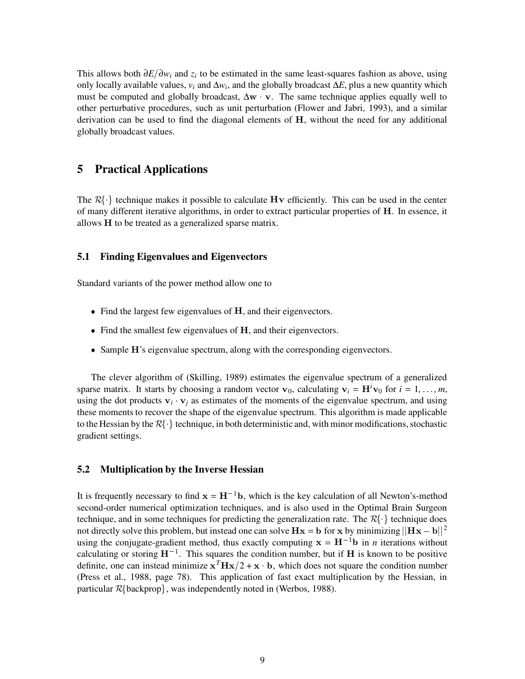This allows both  $\partial E/\partial w_i$  and  $z_i$  to be estimated in the same least-squares fashion as above, using only locally available values, *v<sup>i</sup>* and ∆*w<sup>i</sup>* , and the globally broadcast ∆*E*, plus a new quantity which must be computed and globally broadcast,  $\Delta w \cdot v$ . The same technique applies equally well to other perturbative procedures, such as unit perturbation (Flower and Jabri, 1993), and a similar derivation can be used to find the diagonal elements of H, without the need for any additional globally broadcast values.

## **5 Practical Applications**

The  $\mathcal{R}\{\cdot\}$  technique makes it possible to calculate Hv efficiently. This can be used in the center of many different iterative algorithms, in order to extract particular properties of H. In essence, it allows H to be treated as a generalized sparse matrix.

#### **5.1 Finding Eigenvalues and Eigenvectors**

Standard variants of the power method allow one to

- $\bullet$  Find the largest few eigenvalues of  $H$ , and their eigenvectors.
- Find the smallest few eigenvalues of H, and their eigenvectors.
- Sample H's eigenvalue spectrum, along with the corresponding eigenvectors.

The clever algorithm of (Skilling, 1989) estimates the eigenvalue spectrum of a generalized sparse matrix. It starts by choosing a random vector  $\mathbf{v}_0$ , calculating  $\mathbf{v}_i = \mathbf{H}^i \mathbf{v}_0$  for  $i = 1, \ldots, m$ , using the dot products  $v_i \cdot v_j$  as estimates of the moments of the eigenvalue spectrum, and using these moments to recover the shape of the eigenvalue spectrum. This algorithm is made applicable these moments to recover the shape of the eigenvalue spectrum. This algorithm is made applicable<br>to the Hessian by the  $\mathcal{R}\{\cdot\}$  technique, in both deterministic and, with minor modifications, stochastic gradient settings.

### **5.2 Multiplication by the Inverse Hessian**

It is frequently necessary to find  $x = H^{-1}b$ , which is the key calculation of all Newton's-method second-order numerical optimization techniques, and is also used in the Optimal Brain Surgeon second-order numerical optimization techniques, and is also used in the Optimal Brain Surgeon<br>technique, and in some techniques for predicting the generalization rate. The  $\mathcal{R}\{\cdot\}$  technique does not directly solve this problem, but instead one can solve  $Hx = b$  for x by minimizing  $||Hx - b||^2$ using the conjugate-gradient method, thus exactly computing  $x = H^{-1}b$  in *n* iterations without calculating or storing  $H^{-1}$ . This squares the condition number, but if H is known to be positive definite, one can instead minimize  $x^T H x/2 + x \cdot b$ , which does not square the condition number (Press et al., 1988, page 78). This application of fast exact multiplication by the Hessian, in (Press et al., 1988, page 78). This application of fast exact mult<br>particular R{backprop}, was independently noted in (Werbos, 1988).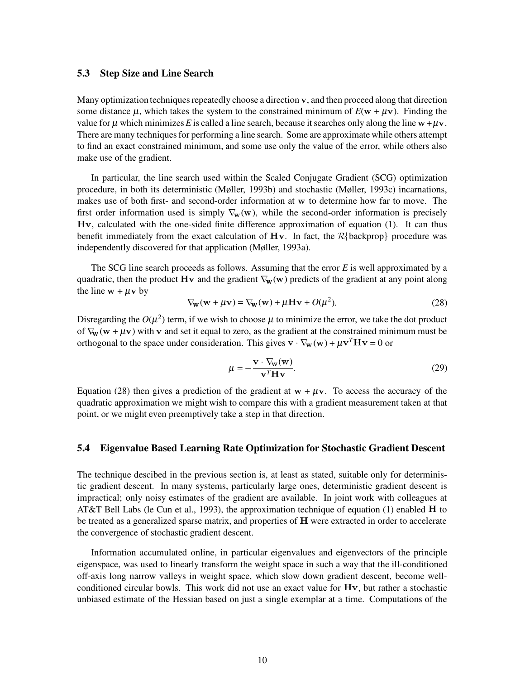#### **5.3 Step Size and Line Search**

Many optimization techniques repeatedly choose a direction v, and then proceed along that direction some distance  $\mu$ , which takes the system to the constrained minimum of  $E(\mathbf{w} + \mu \mathbf{v})$ . Finding the value for  $\mu$  which minimizes E is called a line search, because it searches only along the line  $w + \mu v$ . There are many techniquesfor performing a line search. Some are approximate while others attempt to find an exact constrained minimum, and some use only the value of the error, while others also make use of the gradient.

In particular, the line search used within the Scaled Conjugate Gradient (SCG) optimization procedure, in both its deterministic (Møller, 1993b) and stochastic (Møller, 1993c) incarnations, makes use of both first- and second-order information at w to determine how far to move. The first order information used is simply  $\nabla_w(w)$ , while the second-order information is precisely Hv, calculated with the one-sided finite difference approximation of equation (1). It can thus  $Hv$ , calculated with the one-sided finite difference approximation of equation (1). It can thus benefit immediately from the exact calculation of  $Hv$ . In fact, the  $R\{\text{background}\}$  procedure was independently discovered for that application (Møller, 1993a).

The SCG line search proceeds as follows. Assuming that the error *E* is well approximated by a quadratic, then the product Hv and the gradient  $\nabla_{w}(w)$  predicts of the gradient at any point along the line  $w + \mu v$  by

$$
\nabla_{\mathbf{w}}(\mathbf{w} + \mu \mathbf{v}) = \nabla_{\mathbf{w}}(\mathbf{w}) + \mu \mathbf{H} \mathbf{v} + O(\mu^2). \tag{28}
$$

Disregarding the  $O(\mu^2)$  term, if we wish to choose  $\mu$  to minimize the error, we take the dot product of  $\nabla_{\mathbf{w}}(\mathbf{w} + \mu \mathbf{v})$  with v and set it equal to zero, as the gradient at the constrained minimum must be orthogonal to the space under consideration. This gives  $\mathbf{v} \cdot \nabla_{\mathbf{w}}(\mathbf{w}) + \mu \mathbf{v}^T \mathbf{H} \mathbf{v} = 0$  or

$$
\mu = -\frac{\mathbf{v} \cdot \nabla_{\mathbf{w}}(\mathbf{w})}{\mathbf{v}^T \mathbf{H} \mathbf{v}}.
$$
 (29)

Equation (28) then gives a prediction of the gradient at  $w + \mu v$ . To access the accuracy of the quadratic approximation we might wish to compare this with a gradient measurement taken at that point, or we might even preemptively take a step in that direction.

#### **5.4 Eigenvalue Based Learning Rate Optimization for Stochastic Gradient Descent**

The technique descibed in the previous section is, at least as stated, suitable only for deterministic gradient descent. In many systems, particularly large ones, deterministic gradient descent is impractical; only noisy estimates of the gradient are available. In joint work with colleagues at AT&T Bell Labs (le Cun et al., 1993), the approximation technique of equation (1) enabled  $H$  to be treated as a generalized sparse matrix, and properties of H were extracted in order to accelerate the convergence of stochastic gradient descent.

Information accumulated online, in particular eigenvalues and eigenvectors of the principle eigenspace, was used to linearly transform the weight space in such a way that the ill-conditioned off-axis long narrow valleys in weight space, which slow down gradient descent, become wellconditioned circular bowls. This work did not use an exact value for  $Hv$ , but rather a stochastic unbiased estimate of the Hessian based on just a single exemplar at a time. Computations of the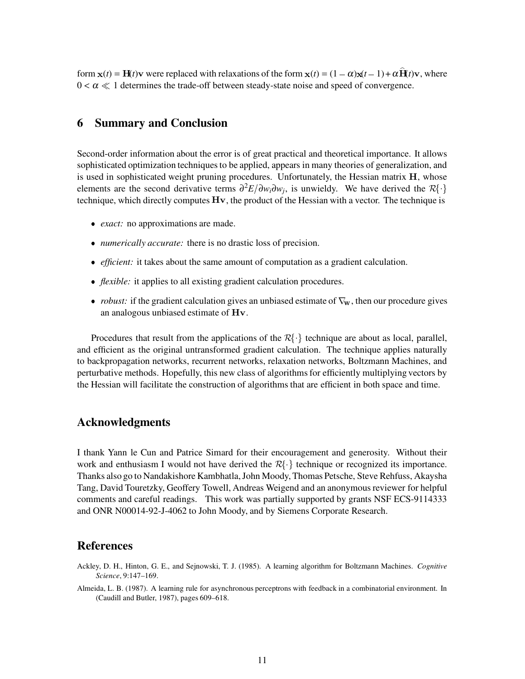form  $\mathbf{x}(t) = \mathbf{H}(t)\mathbf{v}$  were replaced with relaxations of the form  $\mathbf{x}(t) = (1 - \alpha)\mathbf{x}(t - 1) + \alpha \mathbf{H}(t)\mathbf{v}$ , where  $0 < \alpha \ll 1$  determines the trade-off between steady-state noise and speed of convergence.

## **6 Summary and Conclusion**

Second-order information about the error is of great practical and theoretical importance. It allows sophisticated optimization techniques to be applied, appears in many theories of generalization, and is used in sophisticated weight pruning procedures. Unfortunately, the Hessian matrix  $H$ , whose is used in sophisticated weight pruning procedures. Unfortunately, the Hessian matrix **H**, whose elements are the second derivative terms  $\frac{\partial^2 E}{\partial w_i \partial w_j}$ , is unwieldy. We have derived the  $\mathcal{R}\{\cdot\}$ technique, which directly computes  $Hv$ , the product of the Hessian with a vector. The technique is

- *exact:* no approximations are made.
- ^ *numerically accurate:* there is no drastic loss of precision.
- *efficient*: it takes about the same amount of computation as a gradient calculation.
- ^ *flexible:* it applies to all existing gradient calculation procedures.
- *robust:* if the gradient calculation gives an unbiased estimate of  $\nabla_{w}$ , then our procedure gives an analogous unbiased estimate of  $Hv$ .

Procedures that result from the applications of the  $R\{\cdot\}$  technique are about as local, parallel, and efficient as the original untransformed gradient calculation. The technique applies naturally to backpropagation networks, recurrent networks, relaxation networks, Boltzmann Machines, and perturbative methods. Hopefully, this new class of algorithmsfor efficiently multiplying vectors by the Hessian will facilitate the construction of algorithms that are efficient in both space and time.

## **Acknowledgments**

I thank Yann le Cun and Patrice Simard for their encouragement and generosity. Without their I thank Yann Ie Cun and Patrice Simard for their encouragement and generosity. Without their work and enthusiasm I would not have derived the  $R\{\cdot\}$  technique or recognized its importance. Thanks also go to Nandakishore Kambhatla,John Moody, Thomas Petsche, Steve Rehfuss, Akaysha Tang, David Touretzky, Geoffery Towell, Andreas Weigend and an anonymousreviewer for helpful comments and careful readings. This work was partially supported by grants NSF ECS-9114333 and ONR N00014-92-J-4062 to John Moody, and by Siemens Corporate Research.

### **References**

- Ackley, D. H., Hinton, G. E., and Sejnowski, T. J. (1985). A learning algorithm for Boltzmann Machines. *Cognitive Science*, 9:147–169.
- Almeida, L. B. (1987). A learning rule for asynchronous perceptrons with feedback in a combinatorial environment. In (Caudill and Butler, 1987), pages 609–618.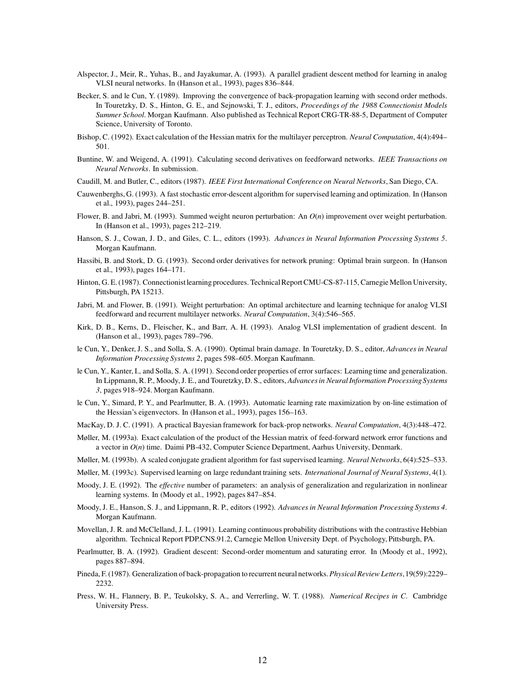- Alspector, J., Meir, R., Yuhas, B., and Jayakumar, A. (1993). A parallel gradient descent method for learning in analog VLSI neural networks. In (Hanson et al., 1993), pages 836–844.
- Becker, S. and le Cun, Y. (1989). Improving the convergence of back-propagation learning with second order methods. In Touretzky, D. S., Hinton, G. E., and Sejnowski, T. J., editors, *Proceedings of the 1988 Connectionist Models Summer School*. Morgan Kaufmann. Also published as Technical Report CRG-TR-88-5, Department of Computer Science, University of Toronto.
- Bishop, C. (1992). Exact calculation of the Hessian matrix for the multilayer perceptron. *Neural Computation*, 4(4):494– 501.
- Buntine, W. and Weigend, A. (1991). Calculating second derivatives on feedforward networks. *IEEE Transactions on Neural Networks*. In submission.
- Caudill, M. and Butler, C., editors (1987). *IEEE First International Conference on Neural Networks*, San Diego, CA.
- Cauwenberghs, G. (1993). A fast stochastic error-descent algorithm for supervised learning and optimization. In (Hanson et al., 1993), pages 244–251.
- Flower, B. and Jabri, M. (1993). Summed weight neuron perturbation: An *O*(*n*) improvement over weight perturbation. In (Hanson et al., 1993), pages 212–219.
- Hanson, S. J., Cowan, J. D., and Giles, C. L., editors (1993). *Advances in Neural Information Processing Systems 5*. Morgan Kaufmann.
- Hassibi, B. and Stork, D. G. (1993). Second order derivatives for network pruning: Optimal brain surgeon. In (Hanson et al., 1993), pages 164–171.
- Hinton, G. E. (1987). Connectionist learning procedures. Technical Report CMU-CS-87-115, Carnegie Mellon University, Pittsburgh, PA 15213.
- Jabri, M. and Flower, B. (1991). Weight perturbation: An optimal architecture and learning technique for analog VLSI feedforward and recurrent multilayer networks. *Neural Computation*, 3(4):546–565.
- Kirk, D. B., Kerns, D., Fleischer, K., and Barr, A. H. (1993). Analog VLSI implementation of gradient descent. In (Hanson et al., 1993), pages 789–796.
- le Cun, Y., Denker, J. S., and Solla, S. A. (1990). Optimal brain damage. In Touretzky, D. S., editor, *Advancesin Neural Information Processing Systems 2*, pages 598–605. Morgan Kaufmann.
- le Cun, Y., Kanter, I., and Solla, S. A. (1991). Second order properties of error surfaces: Learning time and generalization. In Lippmann, R. P., Moody,J. E., and Touretzky, D. S., editors, *Advancesin Neural Information ProcessingSystems 3*, pages 918–924. Morgan Kaufmann.
- le Cun, Y., Simard, P. Y., and Pearlmutter, B. A. (1993). Automatic learning rate maximization by on-line estimation of the Hessian's eigenvectors. In (Hanson et al., 1993), pages 156–163.
- MacKay, D. J. C. (1991). A practical Bayesian framework for back-prop networks. *Neural Computation*, 4(3):448–472.
- Møller, M. (1993a). Exact calculation of the product of the Hessian matrix of feed-forward network error functions and a vector in *O*(*n*) time. Daimi PB-432, Computer Science Department, Aarhus University, Denmark.
- Møller, M. (1993b). A scaled conjugate gradient algorithm for fast supervised learning. *Neural Networks*, 6(4):525–533.
- Møller, M. (1993c). Supervised learning on large redundant training sets. *International Journal of Neural Systems*, 4(1).
- Moody, J. E. (1992). The *effective* number of parameters: an analysis of generalization and regularization in nonlinear learning systems. In (Moody et al., 1992), pages 847–854.
- Moody, J. E., Hanson, S. J., and Lippmann, R. P., editors (1992). *Advancesin Neural Information Processing Systems 4*. Morgan Kaufmann.
- Movellan, J. R. and McClelland, J. L. (1991). Learning continuous probability distributions with the contrastive Hebbian algorithm. Technical Report PDP.CNS.91.2, Carnegie Mellon University Dept. of Psychology, Pittsburgh, PA.
- Pearlmutter, B. A. (1992). Gradient descent: Second-order momentum and saturating error. In (Moody et al., 1992), pages 887–894.
- Pineda, F. (1987). Generalization of back-propagation to recurrent neural networks.*Physical ReviewLetters*,19(59):2229– 2232.
- Press, W. H., Flannery, B. P., Teukolsky, S. A., and Verrerling, W. T. (1988). *Numerical Recipes in C*. Cambridge University Press.